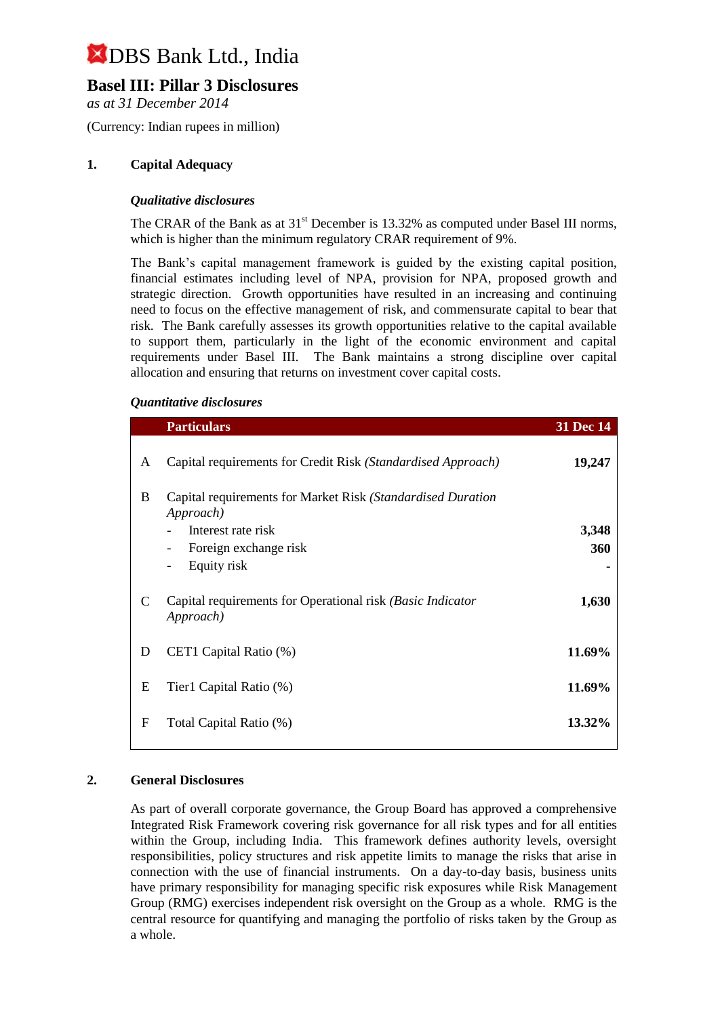## **Basel III: Pillar 3 Disclosures**

*as at 31 December 2014*

(Currency: Indian rupees in million)

## **1. Capital Adequacy**

## *Qualitative disclosures*

The CRAR of the Bank as at  $31<sup>st</sup>$  December is 13.32% as computed under Basel III norms, which is higher than the minimum regulatory CRAR requirement of 9%.

The Bank's capital management framework is guided by the existing capital position, financial estimates including level of NPA, provision for NPA, proposed growth and strategic direction. Growth opportunities have resulted in an increasing and continuing need to focus on the effective management of risk, and commensurate capital to bear that risk. The Bank carefully assesses its growth opportunities relative to the capital available to support them, particularly in the light of the economic environment and capital requirements under Basel III. The Bank maintains a strong discipline over capital allocation and ensuring that returns on investment cover capital costs.

### *Quantitative disclosures*

|   | <b>Particulars</b>                                                       | 31 Dec 14 |
|---|--------------------------------------------------------------------------|-----------|
| A | Capital requirements for Credit Risk (Standardised Approach)             | 19,247    |
| B | Capital requirements for Market Risk (Standardised Duration<br>Approach) |           |
|   | Interest rate risk                                                       | 3,348     |
|   | Foreign exchange risk<br>-                                               | 360       |
|   | Equity risk<br>-                                                         |           |
| C | Capital requirements for Operational risk (Basic Indicator<br>Approach)  | 1,630     |
| D | CET1 Capital Ratio (%)                                                   | 11.69%    |
| E | Tier1 Capital Ratio (%)                                                  | 11.69%    |
| F | Total Capital Ratio (%)                                                  | 13.32%    |

#### **2. General Disclosures**

As part of overall corporate governance, the Group Board has approved a comprehensive Integrated Risk Framework covering risk governance for all risk types and for all entities within the Group, including India. This framework defines authority levels, oversight responsibilities, policy structures and risk appetite limits to manage the risks that arise in connection with the use of financial instruments. On a day-to-day basis, business units have primary responsibility for managing specific risk exposures while Risk Management Group (RMG) exercises independent risk oversight on the Group as a whole. RMG is the central resource for quantifying and managing the portfolio of risks taken by the Group as a whole.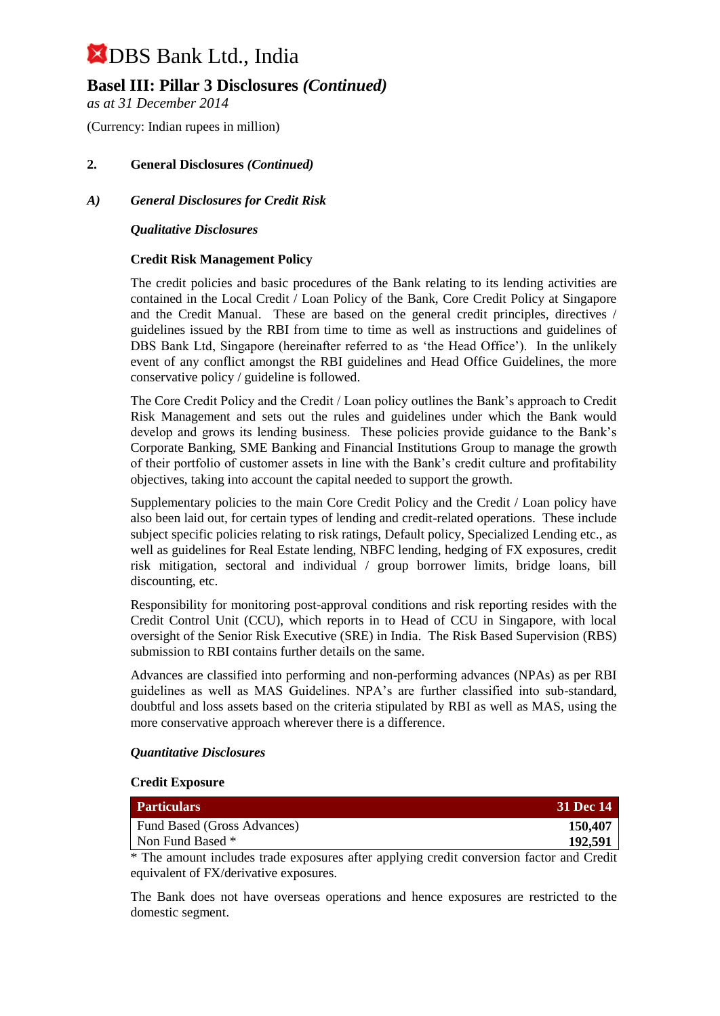## **Basel III: Pillar 3 Disclosures** *(Continued)*

*as at 31 December 2014*

(Currency: Indian rupees in million)

## **2. General Disclosures** *(Continued)*

## *A) General Disclosures for Credit Risk*

### *Qualitative Disclosures*

## **Credit Risk Management Policy**

The credit policies and basic procedures of the Bank relating to its lending activities are contained in the Local Credit / Loan Policy of the Bank, Core Credit Policy at Singapore and the Credit Manual. These are based on the general credit principles, directives / guidelines issued by the RBI from time to time as well as instructions and guidelines of DBS Bank Ltd, Singapore (hereinafter referred to as 'the Head Office'). In the unlikely event of any conflict amongst the RBI guidelines and Head Office Guidelines, the more conservative policy / guideline is followed.

The Core Credit Policy and the Credit / Loan policy outlines the Bank's approach to Credit Risk Management and sets out the rules and guidelines under which the Bank would develop and grows its lending business. These policies provide guidance to the Bank's Corporate Banking, SME Banking and Financial Institutions Group to manage the growth of their portfolio of customer assets in line with the Bank's credit culture and profitability objectives, taking into account the capital needed to support the growth.

Supplementary policies to the main Core Credit Policy and the Credit / Loan policy have also been laid out, for certain types of lending and credit-related operations. These include subject specific policies relating to risk ratings, Default policy, Specialized Lending etc., as well as guidelines for Real Estate lending, NBFC lending, hedging of FX exposures, credit risk mitigation, sectoral and individual / group borrower limits, bridge loans, bill discounting, etc.

Responsibility for monitoring post-approval conditions and risk reporting resides with the Credit Control Unit (CCU), which reports in to Head of CCU in Singapore, with local oversight of the Senior Risk Executive (SRE) in India. The Risk Based Supervision (RBS) submission to RBI contains further details on the same.

Advances are classified into performing and non-performing advances (NPAs) as per RBI guidelines as well as MAS Guidelines. NPA's are further classified into sub-standard, doubtful and loss assets based on the criteria stipulated by RBI as well as MAS, using the more conservative approach wherever there is a difference.

#### *Quantitative Disclosures*

#### **Credit Exposure**

| <b>Particulars</b>          | 31 Dec 14 |
|-----------------------------|-----------|
| Fund Based (Gross Advances) | 150,407   |
| Non Fund Based *            | 192,591   |
|                             |           |

\* The amount includes trade exposures after applying credit conversion factor and Credit equivalent of FX/derivative exposures.

The Bank does not have overseas operations and hence exposures are restricted to the domestic segment.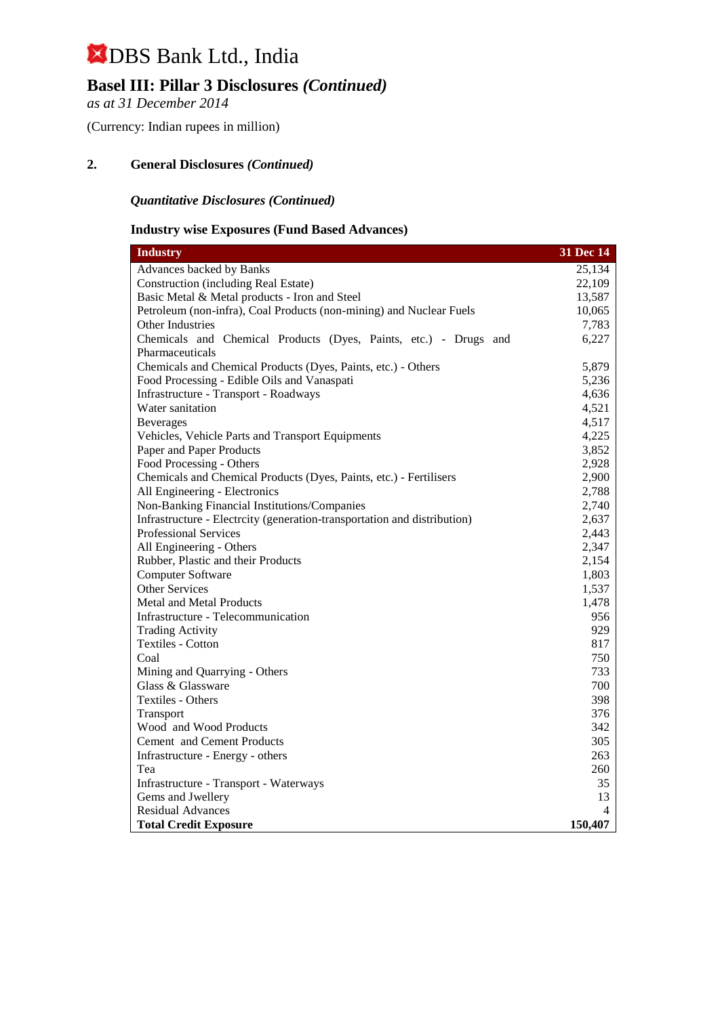## **Basel III: Pillar 3 Disclosures** *(Continued)*

*as at 31 December 2014*

(Currency: Indian rupees in million)

## **2. General Disclosures** *(Continued)*

## *Quantitative Disclosures (Continued)*

## **Industry wise Exposures (Fund Based Advances)**

| <b>Industry</b>                                                          | 31 Dec 14      |
|--------------------------------------------------------------------------|----------------|
| <b>Advances backed by Banks</b>                                          | 25,134         |
| <b>Construction (including Real Estate)</b>                              | 22,109         |
| Basic Metal & Metal products - Iron and Steel                            | 13,587         |
| Petroleum (non-infra), Coal Products (non-mining) and Nuclear Fuels      | 10,065         |
| Other Industries                                                         | 7,783          |
| Chemicals and Chemical Products (Dyes, Paints, etc.) - Drugs and         | 6,227          |
| Pharmaceuticals                                                          |                |
| Chemicals and Chemical Products (Dyes, Paints, etc.) - Others            | 5,879          |
| Food Processing - Edible Oils and Vanaspati                              | 5,236          |
| Infrastructure - Transport - Roadways                                    | 4,636          |
| Water sanitation                                                         | 4,521          |
| <b>Beverages</b>                                                         | 4,517          |
| Vehicles, Vehicle Parts and Transport Equipments                         | 4,225          |
| Paper and Paper Products                                                 | 3,852          |
| Food Processing - Others                                                 | 2,928          |
| Chemicals and Chemical Products (Dyes, Paints, etc.) - Fertilisers       | 2,900          |
| All Engineering - Electronics                                            | 2,788          |
| Non-Banking Financial Institutions/Companies                             | 2,740          |
| Infrastructure - Electrcity (generation-transportation and distribution) | 2,637          |
| <b>Professional Services</b>                                             | 2,443          |
| All Engineering - Others                                                 | 2,347          |
| Rubber, Plastic and their Products                                       | 2,154          |
| <b>Computer Software</b>                                                 | 1,803          |
| <b>Other Services</b>                                                    | 1,537          |
| <b>Metal and Metal Products</b>                                          | 1,478          |
| Infrastructure - Telecommunication                                       | 956            |
| <b>Trading Activity</b>                                                  | 929            |
| Textiles - Cotton                                                        | 817            |
| Coal                                                                     | 750            |
| Mining and Quarrying - Others                                            | 733            |
| Glass & Glassware                                                        | 700            |
| Textiles - Others                                                        | 398            |
| Transport                                                                | 376            |
| Wood and Wood Products                                                   | 342            |
| <b>Cement</b> and Cement Products                                        | 305            |
| Infrastructure - Energy - others                                         | 263            |
| Tea                                                                      | 260            |
| Infrastructure - Transport - Waterways                                   | 35             |
| Gems and Jwellery                                                        | 13             |
| <b>Residual Advances</b>                                                 | $\overline{4}$ |
| <b>Total Credit Exposure</b>                                             | 150,407        |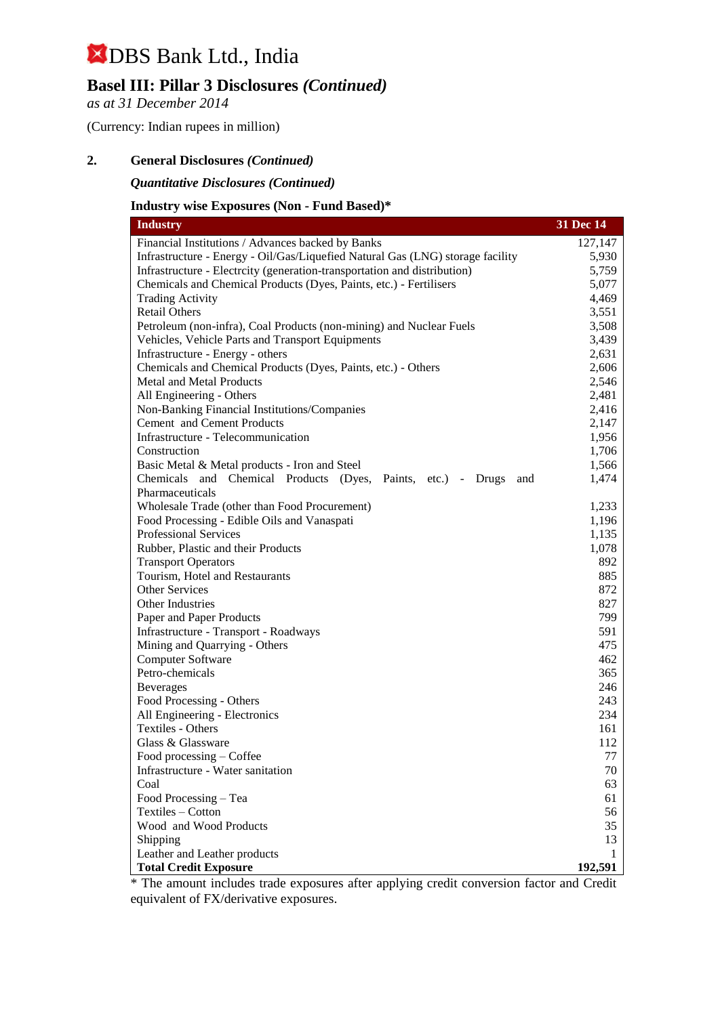## **Basel III: Pillar 3 Disclosures** *(Continued)*

*as at 31 December 2014*

(Currency: Indian rupees in million)

## **2. General Disclosures** *(Continued)*

*Quantitative Disclosures (Continued)*

### **Industry wise Exposures (Non - Fund Based)\***

| <b>Industry</b>                                                                | 31 Dec 14      |
|--------------------------------------------------------------------------------|----------------|
| Financial Institutions / Advances backed by Banks                              | 127,147        |
| Infrastructure - Energy - Oil/Gas/Liquefied Natural Gas (LNG) storage facility | 5,930          |
| Infrastructure - Electrcity (generation-transportation and distribution)       | 5,759          |
| Chemicals and Chemical Products (Dyes, Paints, etc.) - Fertilisers             | 5,077          |
| <b>Trading Activity</b>                                                        | 4,469          |
| <b>Retail Others</b>                                                           | 3,551          |
| Petroleum (non-infra), Coal Products (non-mining) and Nuclear Fuels            | 3,508          |
| Vehicles, Vehicle Parts and Transport Equipments                               | 3,439          |
| Infrastructure - Energy - others                                               | 2,631          |
| Chemicals and Chemical Products (Dyes, Paints, etc.) - Others                  | 2,606          |
| <b>Metal and Metal Products</b>                                                | 2,546          |
| All Engineering - Others                                                       | 2,481          |
| Non-Banking Financial Institutions/Companies                                   | 2,416          |
| Cement and Cement Products                                                     | 2,147          |
| Infrastructure - Telecommunication                                             | 1,956          |
| Construction                                                                   | 1,706          |
| Basic Metal & Metal products - Iron and Steel                                  | 1,566          |
| and Chemical Products (Dyes, Paints, etc.) - Drugs<br>Chemicals<br>and         | 1,474          |
| Pharmaceuticals                                                                |                |
| Wholesale Trade (other than Food Procurement)                                  | 1,233          |
| Food Processing - Edible Oils and Vanaspati<br><b>Professional Services</b>    | 1,196<br>1,135 |
| Rubber, Plastic and their Products                                             | 1,078          |
| <b>Transport Operators</b>                                                     | 892            |
| Tourism, Hotel and Restaurants                                                 | 885            |
| <b>Other Services</b>                                                          | 872            |
| Other Industries                                                               | 827            |
| Paper and Paper Products                                                       | 799            |
| Infrastructure - Transport - Roadways                                          | 591            |
| Mining and Quarrying - Others                                                  | 475            |
| <b>Computer Software</b>                                                       | 462            |
| Petro-chemicals                                                                | 365            |
| <b>Beverages</b>                                                               | 246            |
| Food Processing - Others                                                       | 243            |
| All Engineering - Electronics                                                  | 234            |
| Textiles - Others                                                              | 161            |
| Glass & Glassware                                                              | 112            |
| Food processing – Coffee                                                       | 77             |
| Infrastructure - Water sanitation                                              | 70             |
| Coal                                                                           | 63             |
| Food Processing - Tea                                                          | 61             |
| Textiles - Cotton                                                              | 56             |
| Wood and Wood Products                                                         | 35             |
| Shipping                                                                       | 13             |
| Leather and Leather products                                                   | 1              |
| <b>Total Credit Exposure</b>                                                   | 192,591        |

\* The amount includes trade exposures after applying credit conversion factor and Credit equivalent of FX/derivative exposures.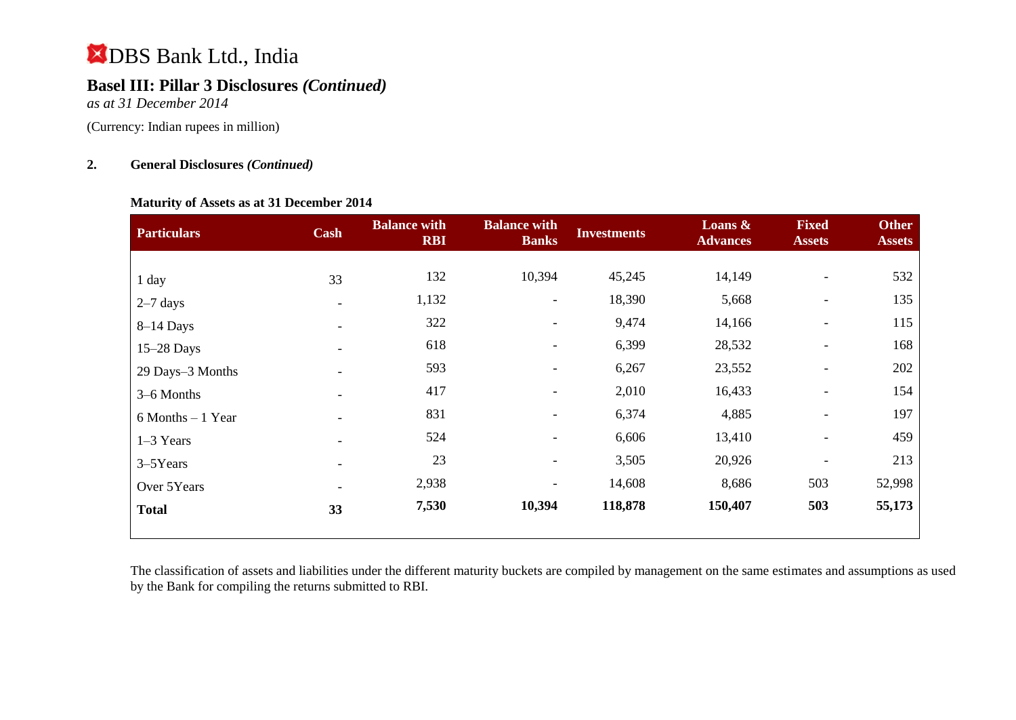## **Basel III: Pillar 3 Disclosures** *(Continued)*

*as at 31 December 2014*

(Currency: Indian rupees in million)

## **2. General Disclosures** *(Continued)*

## **Maturity of Assets as at 31 December 2014**

| <b>Particulars</b>   | Cash | <b>Balance with</b><br><b>RBI</b> | <b>Balance with</b><br><b>Banks</b> | <b>Investments</b> | Loans &<br><b>Advances</b> | <b>Fixed</b><br><b>Assets</b> | <b>Other</b><br><b>Assets</b> |
|----------------------|------|-----------------------------------|-------------------------------------|--------------------|----------------------------|-------------------------------|-------------------------------|
|                      |      |                                   |                                     |                    |                            |                               |                               |
| 1 day                | 33   | 132                               | 10,394                              | 45,245             | 14,149                     |                               | 532                           |
| $2-7$ days           |      | 1,132                             | Ξ.                                  | 18,390             | 5,668                      |                               | 135                           |
| $8-14$ Days          |      | 322                               | $\overline{\phantom{a}}$            | 9,474              | 14,166                     | $\overline{\phantom{a}}$      | 115                           |
| $15-28$ Days         |      | 618                               |                                     | 6,399              | 28,532                     |                               | 168                           |
| 29 Days-3 Months     |      | 593                               |                                     | 6,267              | 23,552                     | $\overline{\phantom{a}}$      | 202                           |
| 3-6 Months           |      | 417                               | $\overline{\phantom{0}}$            | 2,010              | 16,433                     | $\overline{\phantom{a}}$      | 154                           |
| $6$ Months $-1$ Year |      | 831                               | $\overline{\phantom{a}}$            | 6,374              | 4,885                      | $\overline{\phantom{a}}$      | 197                           |
| $1-3$ Years          |      | 524                               |                                     | 6,606              | 13,410                     | $\overline{\phantom{a}}$      | 459                           |
| 3–5Years             |      | 23                                | $\overline{\phantom{0}}$            | 3,505              | 20,926                     |                               | 213                           |
| Over 5Years          |      | 2,938                             | $\overline{\phantom{a}}$            | 14,608             | 8,686                      | 503                           | 52,998                        |
| <b>Total</b>         | 33   | 7,530                             | 10,394                              | 118,878            | 150,407                    | 503                           | 55,173                        |

The classification of assets and liabilities under the different maturity buckets are compiled by management on the same estimates and assumptions as used by the Bank for compiling the returns submitted to RBI.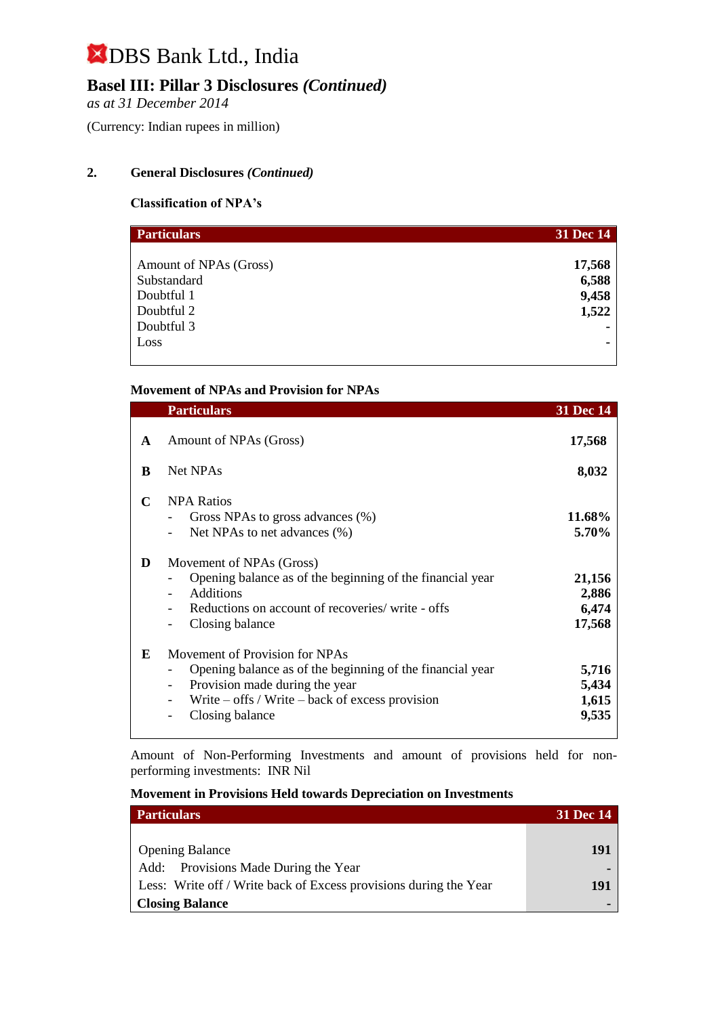## **Basel III: Pillar 3 Disclosures** *(Continued)*

*as at 31 December 2014*

(Currency: Indian rupees in million)

## **2. General Disclosures** *(Continued)*

## **Classification of NPA's**

| <b>Particulars</b>     | 31 Dec 14 |
|------------------------|-----------|
|                        |           |
| Amount of NPAs (Gross) | 17,568    |
| Substandard            | 6,588     |
| Doubtful 1             | 9,458     |
| Doubtful 2             | 1,522     |
| Doubtful 3             |           |
| Loss                   |           |
|                        |           |

## **Movement of NPAs and Provision for NPAs**

|   | <b>Particulars</b>                                                                                                                                                                                                                  | 31 Dec 14                          |
|---|-------------------------------------------------------------------------------------------------------------------------------------------------------------------------------------------------------------------------------------|------------------------------------|
| A | Amount of NPAs (Gross)                                                                                                                                                                                                              | 17,568                             |
| B | <b>Net NPAs</b>                                                                                                                                                                                                                     | 8,032                              |
| C | <b>NPA Ratios</b><br>Gross NPAs to gross advances (%)<br>Net NPAs to net advances (%)                                                                                                                                               | 11.68%<br>5.70%                    |
| D | Movement of NPAs (Gross)<br>Opening balance as of the beginning of the financial year<br>Additions<br>Reductions on account of recoveries/write - offs<br>Closing balance                                                           | 21,156<br>2,886<br>6,474<br>17,568 |
| E | Movement of Provision for NPAs<br>Opening balance as of the beginning of the financial year<br>Provision made during the year<br>$\overline{\phantom{a}}$<br>Write $-$ offs / Write $-$ back of excess provision<br>Closing balance | 5,716<br>5,434<br>1,615<br>9,535   |

Amount of Non-Performing Investments and amount of provisions held for nonperforming investments:INR Nil

### **Movement in Provisions Held towards Depreciation on Investments**

| <b>Particulars</b>                                                | <b>31 Dec 14</b> |
|-------------------------------------------------------------------|------------------|
|                                                                   |                  |
| <b>Opening Balance</b>                                            | 191              |
| Add: Provisions Made During the Year                              |                  |
| Less: Write off / Write back of Excess provisions during the Year | 191              |
| <b>Closing Balance</b>                                            |                  |